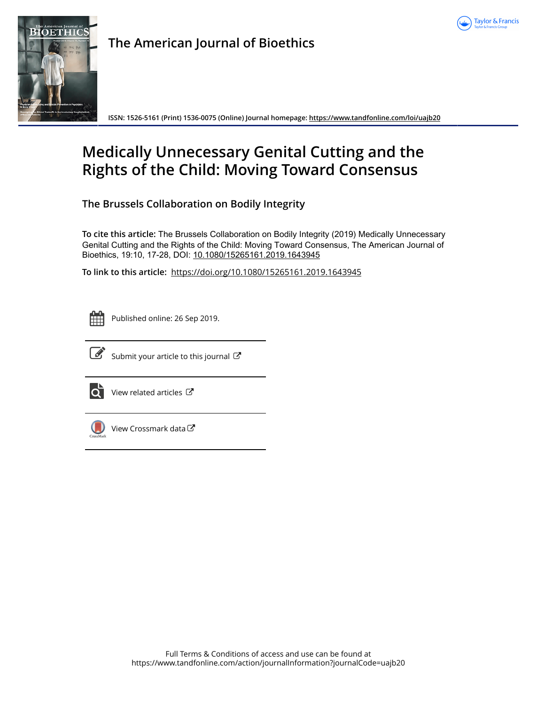



**The American Journal of Bioethics**

**ISSN: 1526-5161 (Print) 1536-0075 (Online) Journal homepage:<https://www.tandfonline.com/loi/uajb20>**

## **Medically Unnecessary Genital Cutting and the Rights of the Child: Moving Toward Consensus**

**The Brussels Collaboration on Bodily Integrity**

**To cite this article:** The Brussels Collaboration on Bodily Integrity (2019) Medically Unnecessary Genital Cutting and the Rights of the Child: Moving Toward Consensus, The American Journal of Bioethics, 19:10, 17-28, DOI: [10.1080/15265161.2019.1643945](https://www.tandfonline.com/action/showCitFormats?doi=10.1080/15265161.2019.1643945)

**To link to this article:** <https://doi.org/10.1080/15265161.2019.1643945>



Published online: 26 Sep 2019.



 $\overrightarrow{S}$  [Submit your article to this journal](https://www.tandfonline.com/action/authorSubmission?journalCode=uajb20&show=instructions)  $\overrightarrow{S}$ 



 $\overrightarrow{Q}$  [View related articles](https://www.tandfonline.com/doi/mlt/10.1080/15265161.2019.1643945)  $\overrightarrow{C}$ 



[View Crossmark data](http://crossmark.crossref.org/dialog/?doi=10.1080/15265161.2019.1643945&domain=pdf&date_stamp=2019-09-26)<sup>C</sup>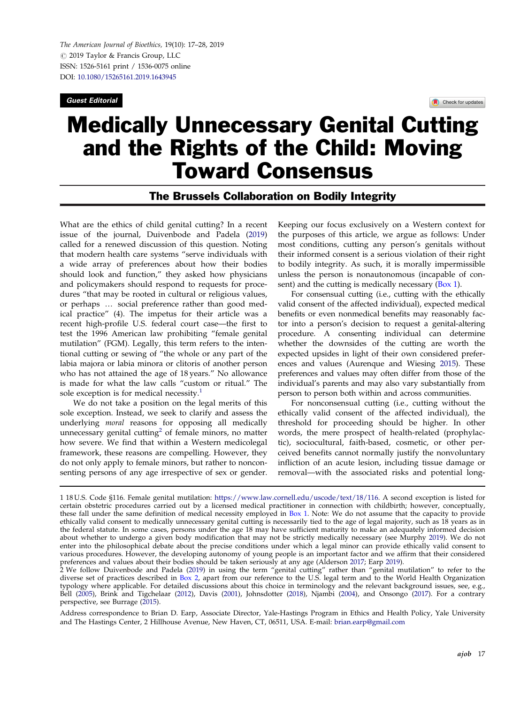<span id="page-1-0"></span>The American Journal of Bioethics, 19(10): 17–28, 2019  $\oslash$  2019 Taylor & Francis Group, LLC ISSN: 1526-5161 print / 1536-0075 online DOI: [10.1080/15265161.2019.1643945](https://doi.org/10.1080/15265161.2019.1643945)

Guest Editorial

Check for updates

# Medically Unnecessary Genital Cutting and the Rights of the Child: Moving Toward Consensus

### The Brussels Collaboration on Bodily Integrity

What are the ethics of child genital cutting? In a recent issue of the journal, Duivenbode and Padela ([2019\)](#page-7-0) called for a renewed discussion of this question. Noting that modern health care systems "serve individuals with a wide array of preferences about how their bodies should look and function," they asked how physicians and policymakers should respond to requests for procedures "that may be rooted in cultural or religious values, or perhaps … social preference rather than good medical practice" (4). The impetus for their article was a recent high-profile U.S. federal court case—the first to test the 1996 American law prohibiting "female genital mutilation" (FGM). Legally, this term refers to the intentional cutting or sewing of "the whole or any part of the labia majora or labia minora or clitoris of another person who has not attained the age of 18 years." No allowance is made for what the law calls "custom or ritual." The sole exception is for medical necessity. $<sup>1</sup>$ </sup>

We do not take a position on the legal merits of this sole exception. Instead, we seek to clarify and assess the underlying moral reasons for opposing all medically unnecessary genital cutting<sup>2</sup> of female minors, no matter how severe. We find that within a Western medicolegal framework, these reasons are compelling. However, they do not only apply to female minors, but rather to nonconsenting persons of any age irrespective of sex or gender. Keeping our focus exclusively on a Western context for the purposes of this article, we argue as follows: Under most conditions, cutting any person's genitals without their informed consent is a serious violation of their right to bodily integrity. As such, it is morally impermissible unless the person is nonautonomous (incapable of consent) and the cutting is medically necessary (Box 1).

For consensual cutting (i.e., cutting with the ethically valid consent of the affected individual), expected medical benefits or even nonmedical benefits may reasonably factor into a person's decision to request a genital-altering procedure. A consenting individual can determine whether the downsides of the cutting are worth the expected upsides in light of their own considered preferences and values (Aurenque and Wiesing [2015\)](#page-6-0). These preferences and values may often differ from those of the individual's parents and may also vary substantially from person to person both within and across communities.

For nonconsensual cutting (i.e., cutting without the ethically valid consent of the affected individual), the threshold for proceeding should be higher. In other words, the mere prospect of health-related (prophylactic), sociocultural, faith-based, cosmetic, or other perceived benefits cannot normally justify the nonvoluntary infliction of an acute lesion, including tissue damage or removal—with the associated risks and potential long-

Address correspondence to Brian D. Earp, Associate Director, Yale-Hastings Program in Ethics and Health Policy, Yale University and The Hastings Center, 2 Hillhouse Avenue, New Haven, CT, 06511, USA. E-mail: brian.earp@gmail.com

<sup>1 18</sup> U.S. Code §116. Female genital mutilation: <https://www.law.cornell.edu/uscode/text/18/116>. A second exception is listed for certain obstetric procedures carried out by a licensed medical practitioner in connection with childbirth; however, conceptually, these fall under the same definition of medical necessity employed in Box 1. Note: We do not assume that the capacity to provide ethically valid consent to medically unnecessary genital cutting is necessarily tied to the age of legal majority, such as 18 years as in the federal statute. In some cases, persons under the age 18 may have sufficient maturity to make an adequately informed decision about whether to undergo a given body modification that may not be strictly medically necessary (see Murphy [2019\)](#page-8-0). We do not enter into the philosophical debate about the precise conditions under which a legal minor can provide ethically valid consent to various procedures. However, the developing autonomy of young people is an important factor and we affirm that their considered preferences and values about their bodies should be taken seriously at any age (Alderson [2017;](#page-6-0) Earp [2019](#page-7-0)).

<sup>2</sup> We follow Duivenbode and Padela [\(2019](#page-7-0)) in using the term "genital cutting" rather than "genital mutilation" to refer to the diverse set of practices described in [Box 2,](#page-3-0) apart from our reference to the U.S. legal term and to the World Health Organization typology where applicable. For detailed discussions about this choice in terminology and the relevant background issues, see, e.g., Bell ([2005\)](#page-6-0), Brink and Tigchelaar [\(2012](#page-8-0)), Davis ([2001\)](#page-7-0), Johnsdotter [\(2018](#page-7-0)), Njambi ([2004\)](#page-8-0), and Onsongo [\(2017\)](#page-8-0). For a contrary perspective, see Burrage [\(2015](#page-6-0)).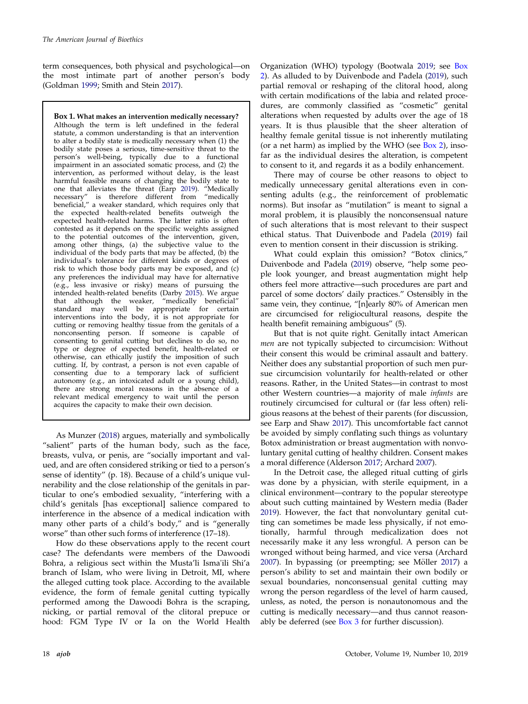<span id="page-2-0"></span>term consequences, both physical and psychological—on the most intimate part of another person's body (Goldman [1999;](#page-7-0) Smith and Stein [2017](#page-8-0)).

Box 1. What makes an intervention medically necessary? Although the term is left undefined in the federal statute, a common understanding is that an intervention to alter a bodily state is medically necessary when (1) the bodily state poses a serious, time-sensitive threat to the person's well-being, typically due to a functional impairment in an associated somatic process, and (2) the intervention, as performed without delay, is the least harmful feasible means of changing the bodily state to one that alleviates the threat (Earp [2019](#page-7-0)). "Medically necessary" is therefore different from "medically beneficial," a weaker standard, which requires only that the expected health-related benefits outweigh the expected health-related harms. The latter ratio is often contested as it depends on the specific weights assigned to the potential outcomes of the intervention, given, among other things, (a) the subjective value to the individual of the body parts that may be affected, (b) the individual's tolerance for different kinds or degrees of risk to which those body parts may be exposed, and (c) any preferences the individual may have for alternative (e.g., less invasive or risky) means of pursuing the intended health-related benefits (Darby [2015\)](#page-7-0). We argue that although the weaker, "medically beneficial" standard may well be appropriate for certain interventions into the body, it is not appropriate for cutting or removing healthy tissue from the genitals of a nonconsenting person. If someone is capable of consenting to genital cutting but declines to do so, no type or degree of expected benefit, health-related or otherwise, can ethically justify the imposition of such cutting. If, by contrast, a person is not even capable of consenting due to a temporary lack of sufficient autonomy (e.g., an intoxicated adult or a young child), there are strong moral reasons in the absence of a relevant medical emergency to wait until the person acquires the capacity to make their own decision.

As Munzer ([2018\)](#page-8-0) argues, materially and symbolically "salient" parts of the human body, such as the face, breasts, vulva, or penis, are "socially important and valued, and are often considered striking or tied to a person's sense of identity" (p. 18). Because of a child's unique vulnerability and the close relationship of the genitals in particular to one's embodied sexuality, "interfering with a child's genitals [has exceptional] salience compared to interference in the absence of a medical indication with many other parts of a child's body," and is "generally worse" than other such forms of interference (17–18).

How do these observations apply to the recent court case? The defendants were members of the Dawoodi Bohra, a religious sect within the Musta'li Isma'ili Shi'a branch of Islam, who were living in Detroit, MI, where the alleged cutting took place. According to the available evidence, the form of female genital cutting typically performed among the Dawoodi Bohra is the scraping, nicking, or partial removal of the clitoral prepuce or hood: FGM Type IV or Ia on the World Health Organization (WHO) typology (Bootwala [2019;](#page-6-0) see [Box](#page-3-0) [2\)](#page-3-0). As alluded to by Duivenbode and Padela [\(2019\)](#page-7-0), such partial removal or reshaping of the clitoral hood, along with certain modifications of the labia and related procedures, are commonly classified as "cosmetic" genital alterations when requested by adults over the age of 18 years. It is thus plausible that the sheer alteration of healthy female genital tissue is not inherently mutilating (or a net harm) as implied by the WHO (see  $Box$  2), insofar as the individual desires the alteration, is competent to consent to it, and regards it as a bodily enhancement.

There may of course be other reasons to object to medically unnecessary genital alterations even in consenting adults (e.g., the reinforcement of problematic norms). But insofar as "mutilation" is meant to signal a moral problem, it is plausibly the nonconsensual nature of such alterations that is most relevant to their suspect ethical status. That Duivenbode and Padela ([2019\)](#page-7-0) fail even to mention consent in their discussion is striking.

What could explain this omission? "Botox clinics," Duivenbode and Padela ([2019](#page-7-0)) observe, "help some people look younger, and breast augmentation might help others feel more attractive—such procedures are part and parcel of some doctors' daily practices." Ostensibly in the same vein, they continue, "[n]early 80% of American men are circumcised for religiocultural reasons, despite the health benefit remaining ambiguous" (5).

But that is not quite right. Genitally intact American men are not typically subjected to circumcision: Without their consent this would be criminal assault and battery. Neither does any substantial proportion of such men pursue circumcision voluntarily for health-related or other reasons. Rather, in the United States—in contrast to most other Western countries—a majority of male infants are routinely circumcised for cultural or (far less often) religious reasons at the behest of their parents (for discussion, see Earp and Shaw [2017](#page-7-0)). This uncomfortable fact cannot be avoided by simply conflating such things as voluntary Botox administration or breast augmentation with nonvoluntary genital cutting of healthy children. Consent makes a moral difference (Alderson [2017;](#page-6-0) Archard [2007](#page-6-0)).

In the Detroit case, the alleged ritual cutting of girls was done by a physician, with sterile equipment, in a clinical environment—contrary to the popular stereotype about such cutting maintained by Western media (Bader [2019](#page-6-0)). However, the fact that nonvoluntary genital cutting can sometimes be made less physically, if not emotionally, harmful through medicalization does not necessarily make it any less wrongful. A person can be wronged without being harmed, and vice versa (Archard [2007](#page-6-0)). In bypassing (or preempting; see Möller [2017](#page-8-0)) a person's ability to set and maintain their own bodily or sexual boundaries, nonconsensual genital cutting may wrong the person regardless of the level of harm caused, unless, as noted, the person is nonautonomous and the cutting is medically necessary—and thus cannot reasonably be deferred (see Box 3 for further discussion).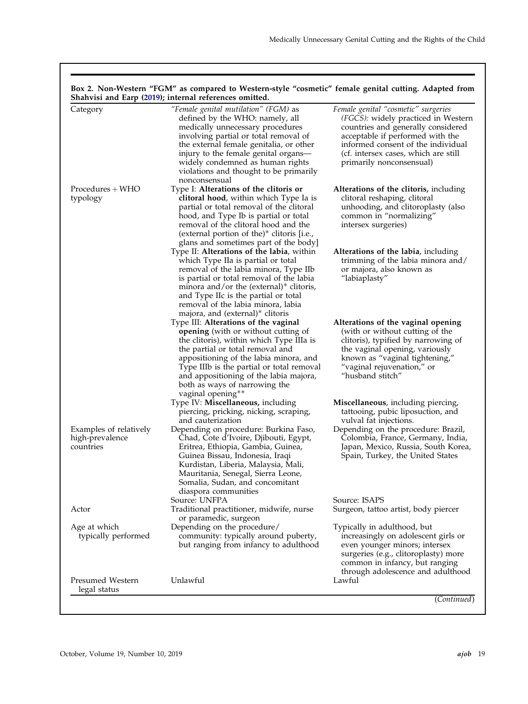<span id="page-3-0"></span>

| Category                                               | "Female genital mutilation" (FGM) as                                                                                                                                                                                                                                                                                                                      | Female genital "cosmetic" surgeries                                                                                                                                                                                                |
|--------------------------------------------------------|-----------------------------------------------------------------------------------------------------------------------------------------------------------------------------------------------------------------------------------------------------------------------------------------------------------------------------------------------------------|------------------------------------------------------------------------------------------------------------------------------------------------------------------------------------------------------------------------------------|
|                                                        | defined by the WHO: namely, all<br>medically unnecessary procedures<br>involving partial or total removal of<br>the external female genitalia, or other<br>injury to the female genital organs-<br>widely condemned as human rights<br>violations and thought to be primarily                                                                             | (FGCS): widely practiced in Western<br>countries and generally considered<br>acceptable if performed with the<br>informed consent of the individual<br>(cf. intersex cases, which are still<br>primarily nonconsensual)            |
|                                                        | nonconsensual                                                                                                                                                                                                                                                                                                                                             |                                                                                                                                                                                                                                    |
| $Proceedures + WHO$<br>typology                        | Type I: Alterations of the clitoris or<br>clitoral hood, within which Type Ia is<br>partial or total removal of the clitoral<br>hood, and Type Ib is partial or total<br>removal of the clitoral hood and the<br>(external portion of the)* clitoris [i.e.,<br>glans and sometimes part of the body]                                                      | Alterations of the clitoris, including<br>clitoral reshaping, clitoral<br>unhooding, and clitoroplasty (also<br>common in "normalizing"<br>intersex surgeries)                                                                     |
|                                                        | Type II: Alterations of the labia, within<br>which Type IIa is partial or total<br>removal of the labia minora, Type IIb<br>is partial or total removal of the labia<br>minora and/or the (external) $*$ clitoris,<br>and Type IIc is the partial or total<br>removal of the labia minora, labia<br>majora, and (external)* clitoris                      | Alterations of the labia, including<br>trimming of the labia minora and/<br>or majora, also known as<br>"labiaplasty"                                                                                                              |
|                                                        | Type III: Alterations of the vaginal<br><b>opening</b> (with or without cutting of<br>the clitoris), within which Type IIIa is<br>the partial or total removal and<br>appositioning of the labia minora, and<br>Type IIIb is the partial or total removal<br>and appositioning of the labia majora,<br>both as ways of narrowing the<br>vaginal opening** | Alterations of the vaginal opening<br>(with or without cutting of the<br>clitoris), typified by narrowing of<br>the vaginal opening, variously<br>known as "vaginal tightening,"<br>"vaginal rejuvenation," or<br>"husband stitch" |
|                                                        | Type IV: Miscellaneous, including<br>piercing, pricking, nicking, scraping,<br>and cauterization                                                                                                                                                                                                                                                          | Miscellaneous, including piercing,<br>tattooing, pubic liposuction, and<br>vulval fat injections.                                                                                                                                  |
| Examples of relatively<br>high-prevalence<br>countries | Depending on procedure: Burkina Faso,<br>Chad, Cote d'Ivoire, Djibouti, Egypt,<br>Eritrea, Ethiopia, Gambia, Guinea,<br>Guinea Bissau, Indonesia, Iraqi<br>Kurdistan, Liberia, Malaysia, Mali,<br>Mauritania, Senegal, Sierra Leone,<br>Somalia, Sudan, and concomitant<br>diaspora communities                                                           | Depending on the procedure: Brazil,<br>Colombia, France, Germany, India,<br>Japan, Mexico, Russia, South Korea,<br>Spain, Turkey, the United States                                                                                |
| Actor                                                  | Source: UNFPA<br>Traditional practitioner, midwife, nurse<br>or paramedic, surgeon                                                                                                                                                                                                                                                                        | Source: ISAPS<br>Surgeon, tattoo artist, body piercer                                                                                                                                                                              |
| Age at which<br>typically performed                    | Depending on the procedure/<br>community: typically around puberty,<br>but ranging from infancy to adulthood                                                                                                                                                                                                                                              | Typically in adulthood, but<br>increasingly on adolescent girls or<br>even younger minors; intersex<br>surgeries (e.g., clitoroplasty) more<br>common in infancy, but ranging<br>through adolescence and adulthood                 |
| Presumed Western                                       | Unlawful                                                                                                                                                                                                                                                                                                                                                  | Lawful                                                                                                                                                                                                                             |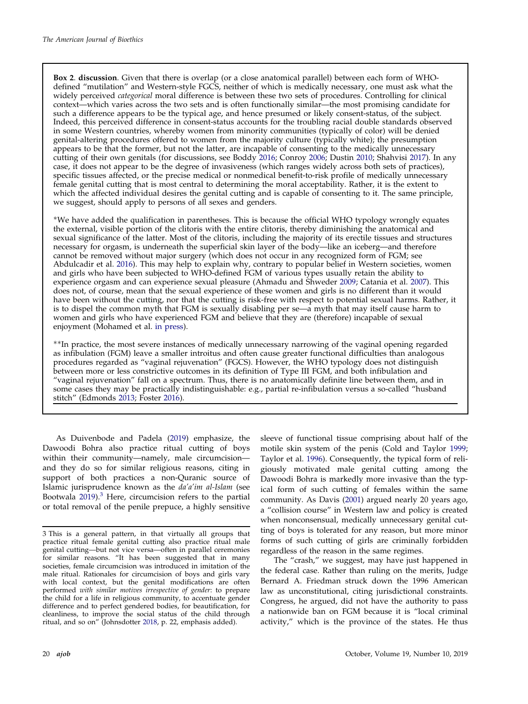<span id="page-4-0"></span>Box 2. discussion. Given that there is overlap (or a close anatomical parallel) between each form of WHOdefined "mutilation" and Western-style FGCS, neither of which is medically necessary, one must ask what the widely perceived categorical moral difference is between these two sets of procedures. Controlling for clinical context—which varies across the two sets and is often functionally similar—the most promising candidate for such a difference appears to be the typical age, and hence presumed or likely consent-status, of the subject. Indeed, this perceived difference in consent-status accounts for the troubling racial double standards observed in some Western countries, whereby women from minority communities (typically of color) will be denied genital-altering procedures offered to women from the majority culture (typically white); the presumption appears to be that the former, but not the latter, are incapable of consenting to the medically unnecessary cutting of their own genitals (for discussions, see Boddy [2016;](#page-6-0) Conroy [2006;](#page-6-0) Dustin [2010](#page-7-0); Shahvisi [2017](#page-8-0)). In any case, it does not appear to be the degree of invasiveness (which ranges widely across both sets of practices), specific tissues affected, or the precise medical or nonmedical benefit-to-risk profile of medically unnecessary female genital cutting that is most central to determining the moral acceptability. Rather, it is the extent to which the affected individual desires the genital cutting and is capable of consenting to it. The same principle, we suggest, should apply to persons of all sexes and genders.

-We have added the qualification in parentheses. This is because the official WHO typology wrongly equates the external, visible portion of the clitoris with the entire clitoris, thereby diminishing the anatomical and sexual significance of the latter. Most of the clitoris, including the majority of its erectile tissues and structures necessary for orgasm, is underneath the superficial skin layer of the body—like an iceberg—and therefore cannot be removed without major surgery (which does not occur in any recognized form of FGM; see Abdulcadir et al. [2016](#page-6-0)). This may help to explain why, contrary to popular belief in Western societies, women and girls who have been subjected to WHO-defined FGM of various types usually retain the ability to experience orgasm and can experience sexual pleasure (Ahmadu and Shweder [2009](#page-6-0); Catania et al. [2007\)](#page-6-0). This does not, of course, mean that the sexual experience of these women and girls is no different than it would have been without the cutting, nor that the cutting is risk-free with respect to potential sexual harms. Rather, it is to dispel the common myth that FGM is sexually disabling per se—a myth that may itself cause harm to women and girls who have experienced FGM and believe that they are (therefore) incapable of sexual enjoyment (Mohamed et al. [in press](#page-8-0)).

--In practice, the most severe instances of medically unnecessary narrowing of the vaginal opening regarded as infibulation (FGM) leave a smaller introitus and often cause greater functional difficulties than analogous procedures regarded as "vaginal rejuvenation" (FGCS). However, the WHO typology does not distinguish between more or less constrictive outcomes in its definition of Type III FGM, and both infibulation and "vaginal rejuvenation" fall on a spectrum. Thus, there is no anatomically definite line between them, and in some cases they may be practically indistinguishable: e.g., partial re-infibulation versus a so-called "husband stitch" (Edmonds [2013](#page-7-0); Foster [2016](#page-7-0)).

As Duivenbode and Padela [\(2019](#page-7-0)) emphasize, the Dawoodi Bohra also practice ritual cutting of boys within their community—namely, male circumcision and they do so for similar religious reasons, citing in support of both practices a non-Quranic source of Islamic jurisprudence known as the da'a'im al-Islam (see Bootwala  $2019$ .<sup>3</sup> Here, circumcision refers to the partial or total removal of the penile prepuce, a highly sensitive sleeve of functional tissue comprising about half of the motile skin system of the penis (Cold and Taylor [1999](#page-6-0); Taylor et al. [1996\)](#page-8-0). Consequently, the typical form of religiously motivated male genital cutting among the Dawoodi Bohra is markedly more invasive than the typical form of such cutting of females within the same community. As Davis [\(2001](#page-7-0)) argued nearly 20 years ago, a "collision course" in Western law and policy is created when nonconsensual, medically unnecessary genital cutting of boys is tolerated for any reason, but more minor forms of such cutting of girls are criminally forbidden regardless of the reason in the same regimes.

The "crash," we suggest, may have just happened in the federal case. Rather than ruling on the merits, Judge Bernard A. Friedman struck down the 1996 American law as unconstitutional, citing jurisdictional constraints. Congress, he argued, did not have the authority to pass a nationwide ban on FGM because it is "local criminal activity," which is the province of the states. He thus

<sup>3</sup> This is a general pattern, in that virtually all groups that practice ritual female genital cutting also practice ritual male genital cutting—but not vice versa—often in parallel ceremonies for similar reasons. "It has been suggested that in many societies, female circumcision was introduced in imitation of the male ritual. Rationales for circumcision of boys and girls vary with local context, but the genital modifications are often performed with similar motives irrespective of gender: to prepare the child for a life in religious community, to accentuate gender difference and to perfect gendered bodies, for beautification, for cleanliness, to improve the social status of the child through ritual, and so on" (Johnsdotter [2018,](#page-7-0) p. 22, emphasis added).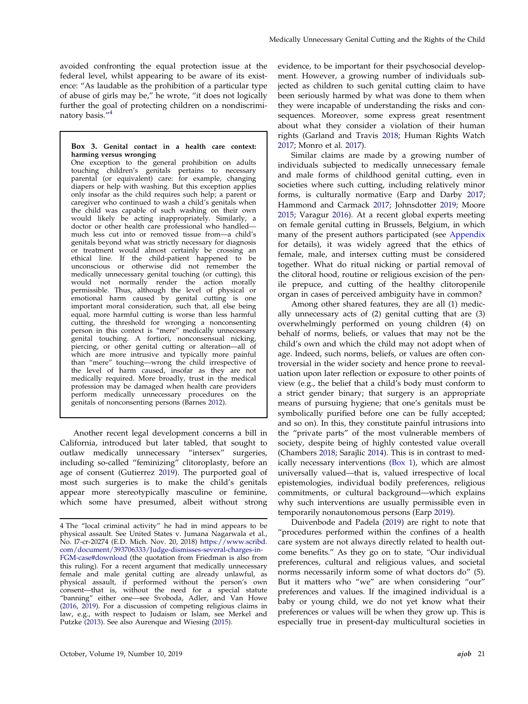<span id="page-5-0"></span>avoided confronting the equal protection issue at the federal level, whilst appearing to be aware of its existence: "As laudable as the prohibition of a particular type of abuse of girls may be," he wrote, "it does not logically further the goal of protecting children on a nondiscriminatory basis."<sup>4</sup>

Box 3. Genital contact in a health care context: harming versus wronging

One exception to the general prohibition on adults touching children's genitals pertains to necessary parental (or equivalent) care: for example, changing diapers or help with washing. But this exception applies only insofar as the child requires such help; a parent or caregiver who continued to wash a child's genitals when the child was capable of such washing on their own would likely be acting inappropriately. Similarly, a doctor or other health care professional who handled much less cut into or removed tissue from—a child's genitals beyond what was strictly necessary for diagnosis or treatment would almost certainly be crossing an ethical line. If the child-patient happened to be unconscious or otherwise did not remember the medically unnecessary genital touching (or cutting), this would not normally render the action morally permissible. Thus, although the level of physical or emotional harm caused by genital cutting is one important moral consideration, such that, all else being equal, more harmful cutting is worse than less harmful cutting, the threshold for wronging a nonconsenting person in this context is "mere" medically unnecessary genital touching. A fortiori, nonconsensual nicking, piercing, or other genital cutting or alteration—all of which are more intrusive and typically more painful than "mere" touching—wrong the child irrespective of the level of harm caused, insofar as they are not medically required. More broadly, trust in the medical profession may be damaged when health care providers perform medically unnecessary procedures on the genitals of nonconsenting persons (Barnes [2012](#page-6-0)).

Another recent legal development concerns a bill in California, introduced but later tabled, that sought to outlaw medically unnecessary "intersex" surgeries, including so-called "feminizing" clitoroplasty, before an age of consent (Gutierrez [2019\)](#page-7-0). The purported goal of most such surgeries is to make the child's genitals appear more stereotypically masculine or feminine, which some have presumed, albeit without strong evidence, to be important for their psychosocial development. However, a growing number of individuals subjected as children to such genital cutting claim to have been seriously harmed by what was done to them when they were incapable of understanding the risks and consequences. Moreover, some express great resentment about what they consider a violation of their human rights (Garland and Travis [2018](#page-7-0); Human Rights Watch [2017;](#page-7-0) Monro et al. [2017\)](#page-8-0).

Similar claims are made by a growing number of individuals subjected to medically unnecessary female and male forms of childhood genital cutting, even in societies where such cutting, including relatively minor forms, is culturally normative (Earp and Darby [2017;](#page-7-0) Hammond and Carmack [2017](#page-7-0); Johnsdotter [2019](#page-7-0); Moore [2015;](#page-8-0) Varagur [2016\)](#page-8-0). At a recent global experts meeting on female genital cutting in Brussels, Belgium, in which many of the present authors participated (see [Appendix](#page-8-0) for details), it was widely agreed that the ethics of female, male, and intersex cutting must be considered together. What do ritual nicking or partial removal of the clitoral hood, routine or religious excision of the penile prepuce, and cutting of the healthy clitoropenile organ in cases of perceived ambiguity have in common?

Among other shared features, they are all (1) medically unnecessary acts of (2) genital cutting that are (3) overwhelmingly performed on young children (4) on behalf of norms, beliefs, or values that may not be the child's own and which the child may not adopt when of age. Indeed, such norms, beliefs, or values are often controversial in the wider society and hence prone to reevaluation upon later reflection or exposure to other points of view (e.g., the belief that a child's body must conform to a strict gender binary; that surgery is an appropriate means of pursuing hygiene; that one's genitals must be symbolically purified before one can be fully accepted; and so on). In this, they constitute painful intrusions into the "private parts" of the most vulnerable members of society, despite being of highly contested value overall (Chambers [2018](#page-6-0); Sarajlic [2014\)](#page-8-0). This is in contrast to medically necessary interventions (Box 1), which are almost universally valued—that is, valued irrespective of local epistemologies, individual bodily preferences, religious commitments, or cultural background—which explains why such interventions are usually permissible even in temporarily nonautonomous persons (Earp [2019\)](#page-7-0).

Duivenbode and Padela [\(2019](#page-7-0)) are right to note that "procedures performed within the confines of a health care system are not always directly related to health outcome benefits." As they go on to state, "Our individual preferences, cultural and religious values, and societal norms necessarily inform some of what doctors do" (5). But it matters who "we" are when considering "our" preferences and values. If the imagined individual is a baby or young child, we do not yet know what their preferences or values will be when they grow up. This is especially true in present-day multicultural societies in

<sup>4</sup> The "local criminal activity" he had in mind appears to be physical assault. See United States v. Jumana Nagarwala et al., No. l7-cr-20274 (E.D. Mich. Nov. 20, 2018) [https://www.scribd.](https://www.scribd.com/document/393706333/Judge-dismisses-several-charges-in-FGM-case#download) [com/document/393706333/Judge-dismisses-several-charges-in-](https://www.scribd.com/document/393706333/Judge-dismisses-several-charges-in-FGM-case#download)[FGM-case#download](https://www.scribd.com/document/393706333/Judge-dismisses-several-charges-in-FGM-case#download) (the quotation from Friedman is also from this ruling). For a recent argument that medically unnecessary female and male genital cutting are already unlawful, as physical assault, if performed without the person's own consent—that is, without the need for a special statute "banning" either one—see Svoboda, Adler, and Van Howe [\(2016](#page-8-0), [2019\)](#page-8-0). For a discussion of competing religious claims in law, e.g., with respect to Judaism or Islam, see Merkel and Putzke [\(2013](#page-7-0)). See also Aurenque and Wiesing [\(2015\)](#page-6-0).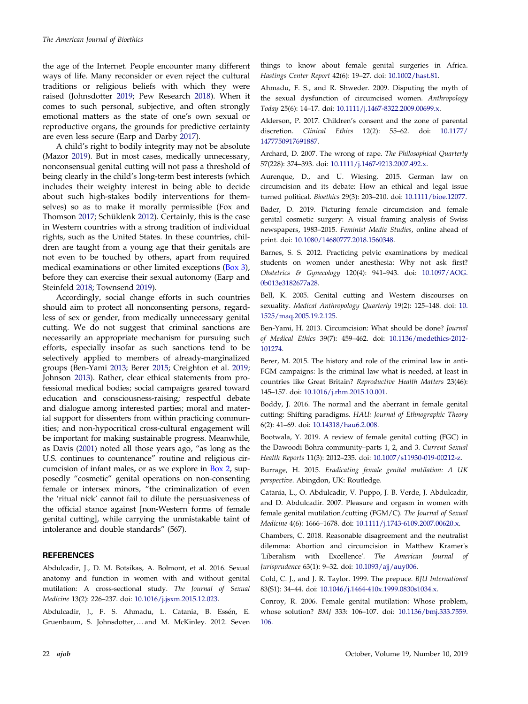<span id="page-6-0"></span>the age of the Internet. People encounter many different ways of life. Many reconsider or even reject the cultural traditions or religious beliefs with which they were raised (Johnsdotter [2019](#page-7-0); Pew Research [2018\)](#page-8-0). When it comes to such personal, subjective, and often strongly emotional matters as the state of one's own sexual or reproductive organs, the grounds for predictive certainty are even less secure (Earp and Darby [2017](#page-7-0)).

A child's right to bodily integrity may not be absolute (Mazor [2019\)](#page-7-0). But in most cases, medically unnecessary, nonconsensual genital cutting will not pass a threshold of being clearly in the child's long-term best interests (which includes their weighty interest in being able to decide about such high-stakes bodily interventions for themselves) so as to make it morally permissible (Fox and Thomson [2017](#page-7-0); Schüklenk [2012](#page-8-0)). Certainly, this is the case in Western countries with a strong tradition of individual rights, such as the United States. In these countries, children are taught from a young age that their genitals are not even to be touched by others, apart from required medical examinations or other limited exceptions (Box 3), before they can exercise their sexual autonomy (Earp and Steinfeld [2018;](#page-7-0) Townsend [2019](#page-8-0)).

Accordingly, social change efforts in such countries should aim to protect all nonconsenting persons, regardless of sex or gender, from medically unnecessary genital cutting. We do not suggest that criminal sanctions are necessarily an appropriate mechanism for pursuing such efforts, especially insofar as such sanctions tend to be selectively applied to members of already-marginalized groups (Ben-Yami 2013; Berer 2015; Creighton et al. [2019;](#page-7-0) Johnson [2013](#page-7-0)). Rather, clear ethical statements from professional medical bodies; social campaigns geared toward education and consciousness-raising; respectful debate and dialogue among interested parties; moral and material support for dissenters from within practicing communities; and non-hypocritical cross-cultural engagement will be important for making sustainable progress. Meanwhile, as Davis ([2001](#page-7-0)) noted all those years ago, "as long as the U.S. continues to countenance" routine and religious circumcision of infant males, or as we explore in [Box 2,](#page-3-0) supposedly "cosmetic" genital operations on non-consenting female or intersex minors, "the criminalization of even the 'ritual nick' cannot fail to dilute the persuasiveness of the official stance against [non-Western forms of female genital cutting], while carrying the unmistakable taint of intolerance and double standards" (567).

#### **REFERENCES**

Abdulcadir, J., D. M. Botsikas, A. Bolmont, et al. [2016](#page-4-0). Sexual anatomy and function in women with and without genital mutilation: A cross-sectional study. The Journal of Sexual Medicine 13(2): 226–237. doi: [10.1016/j.jsxm.2015.12.023.](https://doi.org/10.1016/j.jsxm.2015.12.023)

Abdulcadir, J., F. S. Ahmadu, L. Catania, B. Essén, E. Gruenbaum, S. Johnsdotter, … and M. McKinley. [2012](#page-8-0). Seven things to know about female genital surgeries in Africa. Hastings Center Report 42(6): 19–27. doi: [10.1002/hast.81](https://doi.org/10.1002/hast.81).

Ahmadu, F. S., and R. Shweder. [2009.](#page-4-0) Disputing the myth of the sexual dysfunction of circumcised women. Anthropology Today 25(6): 14–17. doi: [10.1111/j.1467-8322.2009.00699.x](https://doi.org/10.1111/j.1467-8322.2009.00699.x).

Alderson, P. [2017.](#page-1-0) Children's consent and the zone of parental discretion. Clinical Ethics 12(2): 55–62. doi: [10.1177/](https://doi.org/10.1177/1477750917691887) [1477750917691887](https://doi.org/10.1177/1477750917691887).

Archard, D. [2007.](#page-2-0) The wrong of rape. The Philosophical Quarterly 57(228): 374–393. doi: [10.1111/j.1467-9213.2007.492.x.](https://doi.org/10.1111/j.1467-9213.2007.492.x)

Aurenque, D., and U. Wiesing. [2015.](#page-1-0) German law on circumcision and its debate: How an ethical and legal issue turned political. Bioethics 29(3): 203–210. doi: [10.1111/bioe.12077.](https://doi.org/10.1111/bioe.12077)

Bader, D. [2019](#page-2-0). Picturing female circumcision and female genital cosmetic surgery: A visual framing analysis of Swiss newspapers, 1983–2015. Feminist Media Studies, online ahead of print. doi: [10.1080/14680777.2018.1560348](https://doi.org/10.1080/14680777.2018.1560348).

Barnes, S. S. [2012.](#page-5-0) Practicing pelvic examinations by medical students on women under anesthesia: Why not ask first? Obstetrics & Gynecology 120(4): 941–943. doi: [10.1097/AOG.](https://doi.org/10.1097/AOG.0b013e3182677a28) [0b013e3182677a28](https://doi.org/10.1097/AOG.0b013e3182677a28).

Bell, K. [2005](#page-1-0). Genital cutting and Western discourses on sexuality. Medical Anthropology Quarterly 19(2): 125-148. doi: [10.](https://doi.org/10.1525/maq.2005.19.2.125) [1525/maq.2005.19.2.125.](https://doi.org/10.1525/maq.2005.19.2.125)

Ben-Yami, H. 2013. Circumcision: What should be done? Journal of Medical Ethics 39(7): 459–462. doi: [10.1136/medethics-2012-](https://doi.org/10.1136/medethics-2012-101274) [101274](https://doi.org/10.1136/medethics-2012-101274).

Berer, M. 2015. The history and role of the criminal law in anti-FGM campaigns: Is the criminal law what is needed, at least in countries like Great Britain? Reproductive Health Matters 23(46): 145–157. doi: [10.1016/j.rhm.2015.10.001.](https://doi.org/10.1016/j.rhm.2015.10.001)

Boddy, J. [2016.](#page-4-0) The normal and the aberrant in female genital cutting: Shifting paradigms. HAU: Journal of Ethnographic Theory 6(2): 41–69. doi: [10.14318/hau6.2.008](https://doi.org/10.14318/hau6.2.008).

Bootwala, Y. [2019](#page-2-0). A review of female genital cutting (FGC) in the Dawoodi Bohra community–parts 1, 2, and 3. Current Sexual Health Reports 11(3): 2012–235. doi: [10.1007/s11930-019-00212-z](https://doi.org/10.1007/s11930-019-00212-z).

Burrage, H. [2015.](#page-1-0) Eradicating female genital mutilation: A UK perspective. Abingdon, UK: Routledge.

Catania, L., O. Abdulcadir, V. Puppo, J. B. Verde, J. Abdulcadir, and D. Abdulcadir. [2007.](#page-4-0) Pleasure and orgasm in women with female genital mutilation/cutting (FGM/C). The Journal of Sexual Medicine 4(6): 1666–1678. doi: [10.1111/j.1743-6109.2007.00620.x](https://doi.org/10.1111/j.1743-6109.2007.00620.x).

Chambers, C. [2018.](#page-5-0) Reasonable disagreement and the neutralist dilemma: Abortion and circumcision in Matthew Kramer's 'Liberalism with Excellence'. The American Journal of Jurisprudence 63(1): 9–32. doi: [10.1093/ajj/auy006.](https://doi.org/10.1093/ajj/auy006)

Cold, C. J., and J. R. Taylor. [1999.](#page-4-0) The prepuce. BJU International 83(S1): 34–44. doi: [10.1046/j.1464-410x.1999.0830s1034.x](https://doi.org/10.1046/j.1464-410x.1999.0830s1034.x).

Conroy, R. [2006.](#page-4-0) Female genital mutilation: Whose problem, whose solution? BMJ 333: 106–107. doi: [10.1136/bmj.333.7559.](https://doi.org/10.1136/bmj.333.7559.106) [106](https://doi.org/10.1136/bmj.333.7559.106).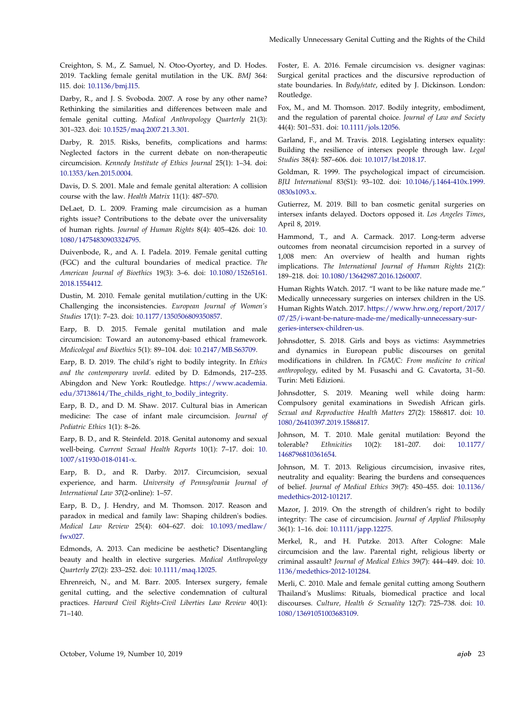<span id="page-7-0"></span>Creighton, S. M., Z. Samuel, N. Otoo-Oyortey, and D. Hodes. [2019.](#page-6-0) Tackling female genital mutilation in the UK. BMJ 364: l15. doi: [10.1136/bmj.l15](https://doi.org/10.1136/bmj.l15).

Darby, R., and J. S. Svoboda. [2007](#page-8-0). A rose by any other name? Rethinking the similarities and differences between male and female genital cutting. Medical Anthropology Quarterly 21(3): 301–323. doi: [10.1525/maq.2007.21.3.301.](https://doi.org/10.1525/maq.2007.21.3.301)

Darby, R. [2015](#page-2-0). Risks, benefits, complications and harms: Neglected factors in the current debate on non-therapeutic circumcision. Kennedy Institute of Ethics Journal 25(1): 1–34. doi: [10.1353/ken.2015.0004](https://doi.org/10.1353/ken.2015.0004).

Davis, D. S. [2001.](#page-1-0) Male and female genital alteration: A collision course with the law. Health Matrix 11(1): 487–570.

DeLaet, D. L. [2009](#page-8-0). Framing male circumcision as a human rights issue? Contributions to the debate over the universality of human rights. Journal of Human Rights 8(4): 405–426. doi: [10.](https://doi.org/10.1080/14754830903324795) [1080/14754830903324795](https://doi.org/10.1080/14754830903324795).

Duivenbode, R., and A. I. Padela. [2019](#page-1-0). Female genital cutting (FGC) and the cultural boundaries of medical practice. The American Journal of Bioethics 19(3): 3–6. doi: [10.1080/15265161.](https://doi.org/10.1080/15265161.2018.1554412) [2018.1554412](https://doi.org/10.1080/15265161.2018.1554412).

Dustin, M. [2010.](#page-4-0) Female genital mutilation/cutting in the UK: Challenging the inconsistencies. European Journal of Women's Studies 17(1): 7–23. doi: [10.1177/1350506809350857.](https://doi.org/10.1177/1350506809350857)

Earp, B. D. [2015](#page-8-0). Female genital mutilation and male circumcision: Toward an autonomy-based ethical framework. Medicolegal and Bioethics 5(1): 89–104. doi: [10.2147/MB.S63709.](https://doi.org/10.2147/MB.S63709)

Earp, B. D. [2019.](#page-1-0) The child's right to bodily integrity. In Ethics and the contemporary world. edited by D. Edmonds, 217–235. Abingdon and New York: Routledge. [https://www.academia.](https://www.academia.edu/37138614/The_childs_right_to_bodily_integrity) [edu/37138614/The\\_childs\\_right\\_to\\_bodily\\_integrity.](https://www.academia.edu/37138614/The_childs_right_to_bodily_integrity)

Earp, B. D., and D. M. Shaw. [2017](#page-2-0). Cultural bias in American medicine: The case of infant male circumcision. Journal of Pediatric Ethics 1(1): 8–26.

Earp, B. D., and R. Steinfeld. [2018.](#page-6-0) Genital autonomy and sexual well-being. Current Sexual Health Reports 10(1): 7–17. doi: [10.](https://doi.org/10.1007/s11930-018-0141-x) [1007/s11930-018-0141-x.](https://doi.org/10.1007/s11930-018-0141-x)

Earp, B. D., and R. Darby. [2017](#page-5-0). Circumcision, sexual experience, and harm. University of Pennsylvania Journal of International Law 37(2-online): 1–57.

Earp, B. D., J. Hendry, and M. Thomson. [2017](#page-8-0). Reason and paradox in medical and family law: Shaping children's bodies. Medical Law Review 25(4): 604–627. doi: [10.1093/medlaw/](https://doi.org/10.1093/medlaw/fwx027) [fwx027.](https://doi.org/10.1093/medlaw/fwx027)

Edmonds, A. [2013.](#page-4-0) Can medicine be aesthetic? Disentangling beauty and health in elective surgeries. Medical Anthropology Quarterly 27(2): 233–252. doi: [10.1111/maq.12025.](https://doi.org/10.1111/maq.12025)

Ehrenreich, N., and M. Barr. [2005.](#page-8-0) Intersex surgery, female genital cutting, and the selective condemnation of cultural practices. Harvard Civil Rights-Civil Liberties Law Review 40(1): 71–140.

Foster, E. A. [2016](#page-4-0). Female circumcision vs. designer vaginas: Surgical genital practices and the discursive reproduction of state boundaries. In Body/state, edited by J. Dickinson. London: Routledge.

Fox, M., and M. Thomson. [2017.](#page-6-0) Bodily integrity, embodiment, and the regulation of parental choice. Journal of Law and Society 44(4): 501–531. doi: [10.1111/jols.12056](https://doi.org/10.1111/jols.12056).

Garland, F., and M. Travis. [2018](#page-5-0). Legislating intersex equality: Building the resilience of intersex people through law. Legal Studies 38(4): 587–606. doi: [10.1017/lst.2018.17](https://doi.org/10.1017/lst.2018.17).

Goldman, R. [1999.](#page-2-0) The psychological impact of circumcision. BJU International 83(S1): 93–102. doi: [10.1046/j.1464-410x.1999.](https://doi.org/10.1046/j.1464-410x.1999.0830s1093.x) [0830s1093.x](https://doi.org/10.1046/j.1464-410x.1999.0830s1093.x).

Gutierrez, M. [2019](#page-5-0). Bill to ban cosmetic genital surgeries on intersex infants delayed. Doctors opposed it. Los Angeles Times, April 8, 2019.

Hammond, T., and A. Carmack. [2017.](#page-5-0) Long-term adverse outcomes from neonatal circumcision reported in a survey of 1,008 men: An overview of health and human rights implications. The International Journal of Human Rights 21(2): 189–218. doi: [10.1080/13642987.2016.1260007](https://doi.org/10.1080/13642987.2016.1260007).

Human Rights Watch. [2017](#page-5-0). "I want to be like nature made me." Medically unnecessary surgeries on intersex children in the US. Human Rights Watch. 2017. [https://www.hrw.org/report/2017/](https://www.hrw.org/report/2017/07/25/i-want-be-nature-made-me/medically-unnecessary-surgeries-intersex-children-us) [07/25/i-want-be-nature-made-me/medically-unnecessary-sur](https://www.hrw.org/report/2017/07/25/i-want-be-nature-made-me/medically-unnecessary-surgeries-intersex-children-us)[geries-intersex-children-us](https://www.hrw.org/report/2017/07/25/i-want-be-nature-made-me/medically-unnecessary-surgeries-intersex-children-us).

Johnsdotter, S. [2018](#page-1-0). Girls and boys as victims: Asymmetries and dynamics in European public discourses on genital modifications in children. In FGM/C: From medicine to critical anthropology, edited by M. Fusaschi and G. Cavatorta, 31–50. Turin: Meti Edizioni.

Johnsdotter, S. [2019.](#page-5-0) Meaning well while doing harm: Compulsory genital examinations in Swedish African girls. Sexual and Reproductive Health Matters 27(2): 1586817. doi: [10.](https://doi.org/10.1080/26410397.2019.1586817) [1080/26410397.2019.1586817.](https://doi.org/10.1080/26410397.2019.1586817)

Johnson, M. T. [2010](#page-8-0). Male genital mutilation: Beyond the tolerable? Ethnicities 10(2): 181–207. doi: [10.1177/](https://doi.org/10.1177/1468796810361654) [1468796810361654.](https://doi.org/10.1177/1468796810361654)

Johnson, M. T. [2013](#page-6-0). Religious circumcision, invasive rites, neutrality and equality: Bearing the burdens and consequences of belief. Journal of Medical Ethics 39(7): 450–455. doi: [10.1136/](https://doi.org/10.1136/medethics-2012-101217) [medethics-2012-101217](https://doi.org/10.1136/medethics-2012-101217).

Mazor, J. [2019](#page-6-0). On the strength of children's right to bodily integrity: The case of circumcision. Journal of Applied Philosophy 36(1): 1–16. doi: [10.1111/japp.12275.](https://doi.org/10.1111/japp.12275)

Merkel, R., and H. Putzke. [2013.](#page-5-0) After Cologne: Male circumcision and the law. Parental right, religious liberty or criminal assault? Journal of Medical Ethics 39(7): 444–449. doi: [10.](https://doi.org/10.1136/medethics-2012-101284) [1136/medethics-2012-101284.](https://doi.org/10.1136/medethics-2012-101284)

Merli, C. [2010](#page-8-0). Male and female genital cutting among Southern Thailand's Muslims: Rituals, biomedical practice and local discourses. Culture, Health & Sexuality 12(7): 725–738. doi: [10.](https://doi.org/10.1080/13691051003683109) [1080/13691051003683109](https://doi.org/10.1080/13691051003683109).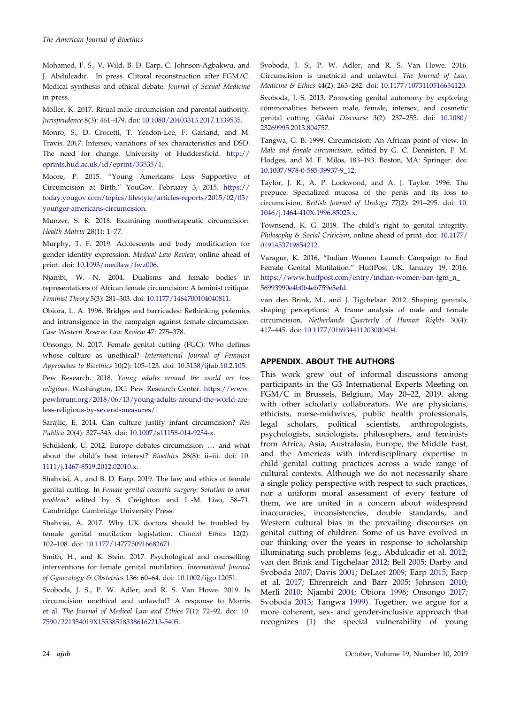<span id="page-8-0"></span>Mohamed, F. S., V. Wild, B. D. Earp, C. Johnson-Agbakwu, and J. Abdulcadir. [In press.](#page-4-0) Clitoral reconstruction after FGM/C. Medical synthesis and ethical debate. Journal of Sexual Medicine in press.

Möller, K. [2017](#page-2-0). Ritual male circumcision and parental authority. Jurisprudence 8(3): 461–479. doi: [10.1080/20403313.2017.1339535.](https://doi.org/10.1080/20403313.2017.1339535)

Monro, S., D. Crocetti, T. Yeadon-Lee, F. Garland, and M. Travis. [2017](#page-5-0). Intersex, variations of sex characteristics and DSD: The need for change. University of Huddersfield. [http://](http://eprints.hud.ac.uk/id/eprint/33535/1) [eprints.hud.ac.uk/id/eprint/33535/1.](http://eprints.hud.ac.uk/id/eprint/33535/1)

Moore, P. [2015.](#page-5-0) "Young Americans Less Supportive of Circumcision at Birth." YouGov. February 3, 2015. [https://](https://today.yougov.com/topics/lifestyle/articles-reports/2015/02/03/younger-americans-circumcision) [today.yougov.com/topics/lifestyle/articles-reports/2015/02/03/](https://today.yougov.com/topics/lifestyle/articles-reports/2015/02/03/younger-americans-circumcision) [younger-americans-circumcision](https://today.yougov.com/topics/lifestyle/articles-reports/2015/02/03/younger-americans-circumcision).

Munzer, S. R. [2018.](#page-2-0) Examining nontherapeutic circumcision. Health Matrix 28(1): 1–77.

Murphy, T. F. [2019.](#page-1-0) Adolescents and body modification for gender identity expression. Medical Law Review, online ahead of print. doi: [10.1093/medlaw/fwz006](https://doi.org/10.1093/medlaw/fwz006).

Njambi, W. N. [2004](#page-1-0). Dualisms and female bodies in representations of African female circumcision: A feminist critique. Feminist Theory 5(3): 281–303. doi: [10.1177/1464700104040811.](https://doi.org/10.1177/1464700104040811)

Obiora, L. A. 1996. Bridges and barricades: Rethinking polemics and intransigence in the campaign against female circumcision. Case Western Reserve Law Review 47: 275–378.

Onsongo, N. [2017.](#page-1-0) Female genital cutting (FGC): Who defines whose culture as unethical? International Journal of Feminist Approaches to Bioethics 10(2): 105–123. doi: [10.3138/ijfab.10.2.105.](https://doi.org/10.3138/ijfab.10.2.105)

Pew Research. [2018](#page-6-0). Young adults around the world are less religious. Washington, DC: Pew Research Center. [https://www.](https://www.pewforum.org/2018/06/13/young-adults-around-the-world-are-less-religious-by-several-measures/) [pewforum.org/2018/06/13/young-adults-around-the-world-are](https://www.pewforum.org/2018/06/13/young-adults-around-the-world-are-less-religious-by-several-measures/)[less-religious-by-several-measures/.](https://www.pewforum.org/2018/06/13/young-adults-around-the-world-are-less-religious-by-several-measures/)

Sarajlic, E. [2014.](#page-5-0) Can culture justify infant circumcision? Res Publica 20(4): 327–343. doi: [10.1007/s11158-014-9254-x](https://doi.org/10.1007/s11158-014-9254-x).

Schüklenk, U. [2012](#page-6-0). Europe debates circumcision ... and what about the child's best interest? Bioethics 26(8): ii–iii. doi: [10.](https://doi.org/10.1111/j.1467-8519.2012.02010.x) [1111/j.1467-8519.2012.02010.x.](https://doi.org/10.1111/j.1467-8519.2012.02010.x)

Shahvisi, A., and B. D. Earp. [2019.](#page-3-0) The law and ethics of female genital cutting. In Female genital cosmetic surgery: Solution to what problem? edited by S. Creighton and L.-M. Liao, 58–71. Cambridge: Cambridge University Press.

Shahvisi, A. [2017.](#page-4-0) Why UK doctors should be troubled by female genital mutilation legislation. Clinical Ethics 12(2): 102–108. doi: [10.1177/1477750916682671.](https://doi.org/10.1177/1477750916682671)

Smith, H., and K. Stein. [2017](#page-2-0). Psychological and counselling interventions for female genital mutilation. International Journal of Gynecology & Obstetrics 136: 60–64. doi: [10.1002/ijgo.12051](https://doi.org/10.1002/ijgo.12051).

Svoboda, J. S., P. W. Adler, and R. S. Van Howe. [2019](#page-5-0). Is circumcision unethical and unlawful? A response to Morris et al. The Journal of Medical Law and Ethics 7(1): 72–92. doi: [10.](https://doi.org/10.7590/221354019X155385183386162213-5405) [7590/221354019X155385183386162213-5405.](https://doi.org/10.7590/221354019X155385183386162213-5405)

Svoboda, J. S., P. W. Adler, and R. S. Van Howe. [2016](#page-5-0). Circumcision is unethical and unlawful. The Journal of Law, Medicine & Ethics 44(2): 263–282. doi: [10.1177/1073110516654120](https://doi.org/10.1177/1073110516654120).

Svoboda, J. S. 2013. Promoting genital autonomy by exploring commonalities between male, female, intersex, and cosmetic genital cutting. Global Discourse 3(2): 237–255. doi: [10.1080/](https://doi.org/10.1080/23269995.2013.804757) [23269995.2013.804757](https://doi.org/10.1080/23269995.2013.804757).

Tangwa, G. B. 1999. Circumcision: An African point of view. In Male and female circumcision, edited by G. C. Denniston, F. M. Hodges, and M. F. Milos, 183–193. Boston, MA: Springer. doi: [10.1007/978-0-585-39937-9\\_12.](https://doi.org/10.1007/978-0-585-39937-9_12)

Taylor, J. R., A. P. Lockwood, and A. J. Taylor. [1996.](#page-4-0) The prepuce: Specialized mucosa of the penis and its loss to circumcision. British Journal of Urology 77(2): 291–295. doi: [10.](https://doi.org/10.1046/j.1464-410X.1996.85023.x) [1046/j.1464-410X.1996.85023.x](https://doi.org/10.1046/j.1464-410X.1996.85023.x).

Townsend, K. G. [2019.](#page-6-0) The child's right to genital integrity. Philosophy & Social Criticism, online ahead of print. doi: [10.1177/](https://doi.org/10.1177/0191453719854212) [0191453719854212](https://doi.org/10.1177/0191453719854212).

Varagur, K. [2016](#page-5-0). "Indian Women Launch Campaign to End Female Genital Mutilation." HuffPost UK. January 19, 2016. [https://www.huffpost.com/entry/indian-women-ban-fgm\\_n\\_](https://www.huffpost.com/entry/indian-women-ban-fgm_n_56993990e4b0b4eb759e3efd) [56993990e4b0b4eb759e3efd](https://www.huffpost.com/entry/indian-women-ban-fgm_n_56993990e4b0b4eb759e3efd).

van den Brink, M., and J. Tigchelaar. [2012.](#page-1-0) Shaping genitals, shaping perceptions: A frame analysis of male and female circumcision. Netherlands Quarterly of Human Rights 30(4): 417–445. doi: [10.1177/016934411203000404.](https://doi.org/10.1177/016934411203000404)

#### APPENDIX. ABOUT THE AUTHORS

This work grew out of informal discussions among participants in the G3 International Experts Meeting on FGM/C in Brussels, Belgium, May 20–22, 2019, along with other scholarly collaborators. We are physicians, ethicists, nurse-midwives, public health professionals, legal scholars, political scientists, anthropologists, psychologists, sociologists, philosophers, and feminists from Africa, Asia, Australasia, Europe, the Middle East, and the Americas with interdisciplinary expertise in child genital cutting practices across a wide range of cultural contexts. Although we do not necessarily share a single policy perspective with respect to such practices, nor a uniform moral assessment of every feature of them, we are united in a concern about widespread inaccuracies, inconsistencies, double standards, and Western cultural bias in the prevailing discourses on genital cutting of children. Some of us have evolved in our thinking over the years in response to scholarship illuminating such problems (e.g., Abdulcadir et al. [2012](#page-6-0); van den Brink and Tigchelaar 2012; Bell [2005;](#page-6-0) Darby and Svoboda [2007](#page-7-0); Davis [2001;](#page-7-0) DeLaet [2009](#page-7-0); Earp [2015;](#page-7-0) Earp et al. [2017;](#page-7-0) Ehrenreich and Barr [2005;](#page-7-0) Johnson [2010](#page-7-0); Merli [2010](#page-7-0); Njambi 2004; Obiora 1996; Onsongo 2017; Svoboda 2013; Tangwa 1999). Together, we argue for a more coherent, sex- and gender-inclusive approach that recognizes (1) the special vulnerability of young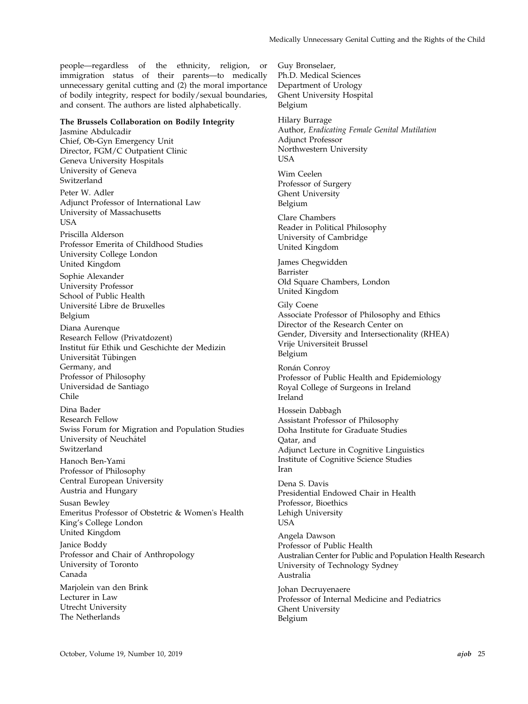people—regardless of the ethnicity, religion, or immigration status of their parents—to medically unnecessary genital cutting and (2) the moral importance of bodily integrity, respect for bodily/sexual boundaries, and consent. The authors are listed alphabetically.

#### The Brussels Collaboration on Bodily Integrity

Jasmine Abdulcadir Chief, Ob-Gyn Emergency Unit Director, FGM/C Outpatient Clinic Geneva University Hospitals University of Geneva Switzerland Peter W. Adler Adjunct Professor of International Law University of Massachusetts **I**ISA Priscilla Alderson Professor Emerita of Childhood Studies University College London United Kingdom Sophie Alexander University Professor School of Public Health Université Libre de Bruxelles Belgium Diana Aurenque Research Fellow (Privatdozent) Institut für Ethik und Geschichte der Medizin Universität Tübingen Germany, and Professor of Philosophy Universidad de Santiago Chile Dina Bader Research Fellow Swiss Forum for Migration and Population Studies University of Neuch^atel Switzerland Hanoch Ben-Yami Professor of Philosophy Central European University Austria and Hungary Susan Bewley Emeritus Professor of Obstetric & Women's Health King's College London United Kingdom Janice Boddy Professor and Chair of Anthropology University of Toronto Canada Marjolein van den Brink Lecturer in Law Utrecht University The Netherlands

Guy Bronselaer, Ph.D. Medical Sciences Department of Urology Ghent University Hospital Belgium Hilary Burrage Author, Eradicating Female Genital Mutilation Adjunct Professor Northwestern University USA Wim Ceelen Professor of Surgery Ghent University Belgium Clare Chambers Reader in Political Philosophy University of Cambridge United Kingdom James Chegwidden Barrister Old Square Chambers, London United Kingdom Gily Coene Associate Professor of Philosophy and Ethics Director of the Research Center on Gender, Diversity and Intersectionality (RHEA) Vrije Universiteit Brussel Belgium Ronán Conroy Professor of Public Health and Epidemiology Royal College of Surgeons in Ireland Ireland Hossein Dabbagh Assistant Professor of Philosophy Doha Institute for Graduate Studies Qatar, and Adjunct Lecture in Cognitive Linguistics Institute of Cognitive Science Studies Iran Dena S. Davis Presidential Endowed Chair in Health Professor, Bioethics Lehigh University USA Angela Dawson Professor of Public Health Australian Center for Public and Population Health Research University of Technology Sydney Australia Johan Decruyenaere Professor of Internal Medicine and Pediatrics Ghent University Belgium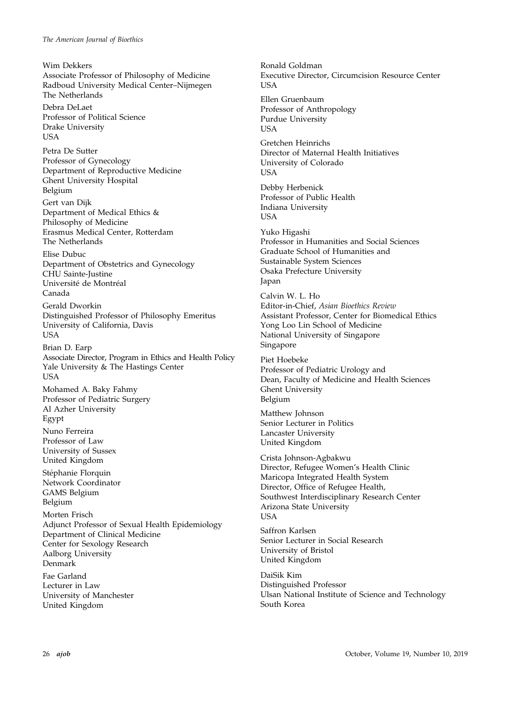Wim Dekkers Associate Professor of Philosophy of Medicine Radboud University Medical Center–Nijmegen The Netherlands Debra DeLaet Professor of Political Science Drake University USA Petra De Sutter Professor of Gynecology Department of Reproductive Medicine Ghent University Hospital Belgium Gert van Dijk Department of Medical Ethics & Philosophy of Medicine Erasmus Medical Center, Rotterdam The Netherlands Elise Dubuc Department of Obstetrics and Gynecology CHU Sainte-Justine Université de Montréal Canada Gerald Dworkin Distinguished Professor of Philosophy Emeritus University of California, Davis USA Brian D. Earp Associate Director, Program in Ethics and Health Policy Yale University & The Hastings Center USA Mohamed A. Baky Fahmy Professor of Pediatric Surgery Al Azher University Egypt Nuno Ferreira Professor of Law University of Sussex United Kingdom Stéphanie Florquin Network Coordinator GAMS Belgium Belgium Morten Frisch Adjunct Professor of Sexual Health Epidemiology Department of Clinical Medicine Center for Sexology Research Aalborg University Denmark Fae Garland Lecturer in Law University of Manchester United Kingdom

USA Ellen Gruenbaum Professor of Anthropology Purdue University USA Gretchen Heinrichs Director of Maternal Health Initiatives University of Colorado USA Debby Herbenick Professor of Public Health Indiana University USA Yuko Higashi Professor in Humanities and Social Sciences Graduate School of Humanities and Sustainable System Sciences Osaka Prefecture University Japan Calvin W. L. Ho Editor-in-Chief, Asian Bioethics Review Assistant Professor, Center for Biomedical Ethics Yong Loo Lin School of Medicine National University of Singapore Singapore Piet Hoebeke Professor of Pediatric Urology and Dean, Faculty of Medicine and Health Sciences Ghent University Belgium Matthew Johnson Senior Lecturer in Politics Lancaster University United Kingdom Crista Johnson-Agbakwu Director, Refugee Women's Health Clinic Maricopa Integrated Health System Director, Office of Refugee Health, Southwest Interdisciplinary Research Center Arizona State University USA Saffron Karlsen Senior Lecturer in Social Research University of Bristol United Kingdom DaiSik Kim Distinguished Professor Ulsan National Institute of Science and Technology South Korea

Executive Director, Circumcision Resource Center

Ronald Goldman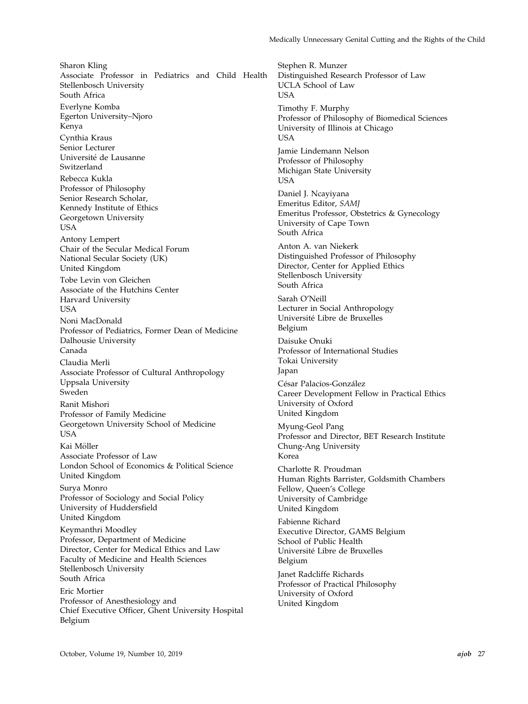Sharon Kling Associate Professor in Pediatrics and Child Health Stellenbosch University South Africa Everlyne Komba Egerton University–Njoro Kenya Cynthia Kraus Senior Lecturer Université de Lausanne Switzerland Rebecca Kukla Professor of Philosophy Senior Research Scholar, Kennedy Institute of Ethics Georgetown University USA Antony Lempert Chair of the Secular Medical Forum National Secular Society (UK) United Kingdom Tobe Levin von Gleichen Associate of the Hutchins Center Harvard University **USA** Noni MacDonald Professor of Pediatrics, Former Dean of Medicine Dalhousie University Canada Claudia Merli Associate Professor of Cultural Anthropology Uppsala University Sweden Ranit Mishori Professor of Family Medicine Georgetown University School of Medicine USA Kai Möller Associate Professor of Law London School of Economics & Political Science United Kingdom Surya Monro Professor of Sociology and Social Policy University of Huddersfield United Kingdom Keymanthri Moodley Professor, Department of Medicine Director, Center for Medical Ethics and Law Faculty of Medicine and Health Sciences Stellenbosch University South Africa Eric Mortier Professor of Anesthesiology and Chief Executive Officer, Ghent University Hospital Belgium

Stephen R. Munzer Distinguished Research Professor of Law UCLA School of Law **I** ISA Timothy F. Murphy Professor of Philosophy of Biomedical Sciences University of Illinois at Chicago USA Jamie Lindemann Nelson Professor of Philosophy Michigan State University USA Daniel J. Ncayiyana Emeritus Editor, SAMJ Emeritus Professor, Obstetrics & Gynecology University of Cape Town South Africa Anton A. van Niekerk Distinguished Professor of Philosophy Director, Center for Applied Ethics Stellenbosch University South Africa Sarah O'Neill Lecturer in Social Anthropology Université Libre de Bruxelles Belgium Daisuke Onuki Professor of International Studies Tokai University Japan César Palacios-González Career Development Fellow in Practical Ethics University of Oxford United Kingdom Myung-Geol Pang Professor and Director, BET Research Institute Chung-Ang University Korea Charlotte R. Proudman Human Rights Barrister, Goldsmith Chambers Fellow, Queen's College University of Cambridge United Kingdom Fabienne Richard Executive Director, GAMS Belgium School of Public Health Université Libre de Bruxelles Belgium Janet Radcliffe Richards Professor of Practical Philosophy University of Oxford United Kingdom